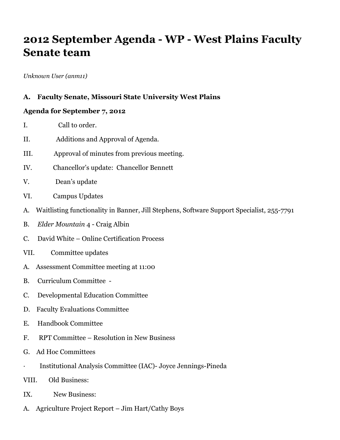# **2012 September Agenda - WP - West Plains Faculty Senate team**

*Unknown User (anm11)*

#### **A. Faculty Senate, Missouri State University West Plains**

#### **Agenda for September 7, 2012**

- I. Call to order.
- II. Additions and Approval of Agenda.
- III. Approval of minutes from previous meeting.
- IV. Chancellor's update: Chancellor Bennett
- V. Dean's update
- VI. Campus Updates
- A. Waitlisting functionality in Banner, Jill Stephens, Software Support Specialist, 255-7791
- B. *Elder Mountain* 4 Craig Albin
- C. David White Online Certification Process
- VII. Committee updates
- A. Assessment Committee meeting at 11:00
- B. Curriculum Committee -
- C. Developmental Education Committee
- D. Faculty Evaluations Committee
- E. Handbook Committee
- F. RPT Committee Resolution in New Business
- G. Ad Hoc Committees
- · Institutional Analysis Committee (IAC)- Joyce Jennings-Pineda
- VIII. Old Business:
- IX. New Business:
- A. Agriculture Project Report Jim Hart/Cathy Boys